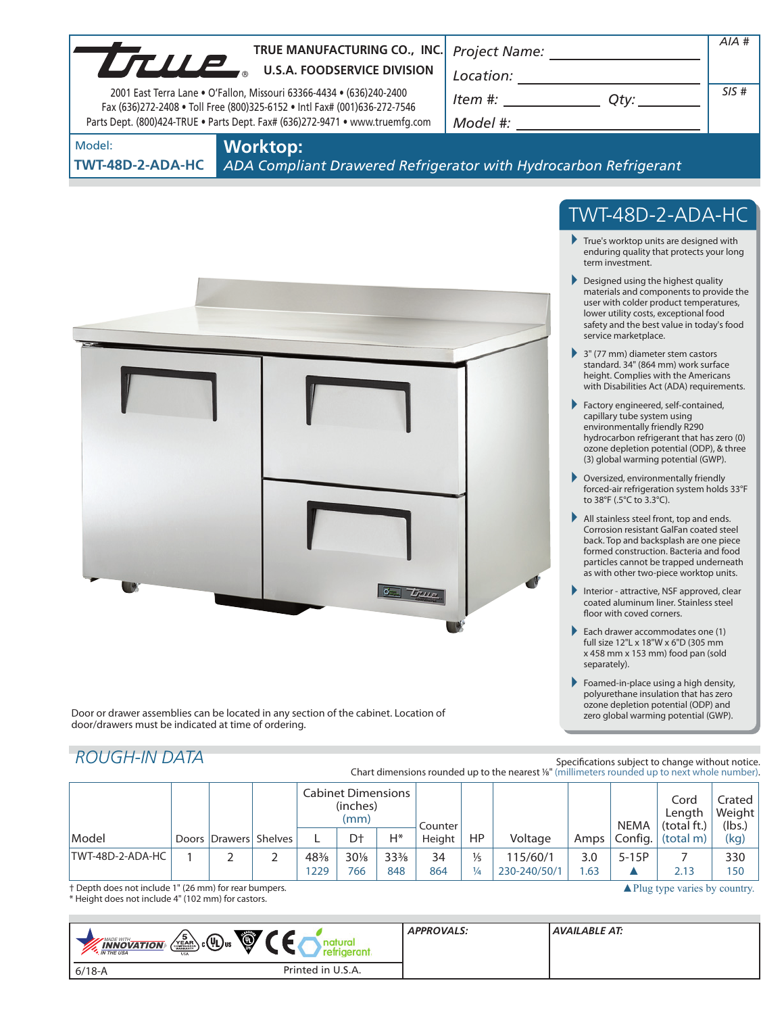|                            | TRUE MANUFACTURING CO., INC.<br>TRUE MANUFACTURING CO., INC                                                                                                                                                                       |                                                                                                                                                                                                                                                                                                                               | AIA#                                                                                                                                                                                                                                                                                                                                                                                                                                                                                                                                                                                                                                                         |
|----------------------------|-----------------------------------------------------------------------------------------------------------------------------------------------------------------------------------------------------------------------------------|-------------------------------------------------------------------------------------------------------------------------------------------------------------------------------------------------------------------------------------------------------------------------------------------------------------------------------|--------------------------------------------------------------------------------------------------------------------------------------------------------------------------------------------------------------------------------------------------------------------------------------------------------------------------------------------------------------------------------------------------------------------------------------------------------------------------------------------------------------------------------------------------------------------------------------------------------------------------------------------------------------|
|                            | 2001 East Terra Lane . O'Fallon, Missouri 63366-4434 . (636)240-2400<br>Fax (636)272-2408 . Toll Free (800)325-6152 . Intl Fax# (001)636-272-7546<br>Parts Dept. (800)424-TRUE . Parts Dept. Fax# (636)272-9471 . www.truemfg.com | $Item$ #: $\overline{Qty:$<br>Model #: _______________                                                                                                                                                                                                                                                                        | SIS#                                                                                                                                                                                                                                                                                                                                                                                                                                                                                                                                                                                                                                                         |
| Model:<br>TWT-48D-2-ADA-HC | <b>Worktop:</b><br>ADA Compliant Drawered Refrigerator with Hydrocarbon Refrigerant                                                                                                                                               |                                                                                                                                                                                                                                                                                                                               |                                                                                                                                                                                                                                                                                                                                                                                                                                                                                                                                                                                                                                                              |
|                            |                                                                                                                                                                                                                                   | term investment.<br>$\triangleright$ Designed using the highest quality<br>service marketplace.<br>$\rightarrow$ 3" (77 mm) diameter stem castors<br>Factory engineered, self-contained,<br>capillary tube system using<br>environmentally friendly R290<br>▶ Oversized, environmentally friendly<br>to 38°F (.5°C to 3.3°C). | TWT-48D-2-ADA-HC<br>$\blacktriangleright$ True's worktop units are designed with<br>enduring quality that protects your long<br>materials and components to provide the<br>user with colder product temperatures,<br>lower utility costs, exceptional food<br>safety and the best value in today's food<br>standard. 34" (864 mm) work surface<br>height. Complies with the Americans<br>with Disabilities Act (ADA) requirements.<br>hydrocarbon refrigerant that has zero (0)<br>ozone depletion potential (ODP), & three<br>(3) global warming potential (GWP).<br>forced-air refrigeration system holds 33°F<br>All stainless steel front, top and ends. |

back. Top and backsplash are one piece formed construction. Bacteria and food particles cannot be trapped underneath as with other two-piece worktop units.

- Interior attractive, NSF approved, clear coated aluminum liner. Stainless steel floor with coved corners.
- Each drawer accommodates one (1) full size 12"L x 18"W x 6"D (305 mm x 458 mm x 153 mm) food pan (sold separately).
- Foamed-in-place using a high density, polyurethane insulation that has zero ozone depletion potential (ODP) and zero global warming potential (GWP).

Door or drawer assemblies can be located in any section of the cabinet. Location of door/drawers must be indicated at time of ordering.

# *ROUGH-IN DATA*

Specifications subject to change without notice. Chart dimensions rounded up to the nearest <sup>1</sup>/8" (millimeters rounded up to next whole number).

|                                                                                                   |  |  |                       | <b>Cabinet Dimensions</b><br>(inches)<br>(mm) |     | Counter         |        |     |              | <b>NEMA</b> | Cord<br>Length<br>(total ft.) | Crated<br>Weight<br>(lbs.) |      |
|---------------------------------------------------------------------------------------------------|--|--|-----------------------|-----------------------------------------------|-----|-----------------|--------|-----|--------------|-------------|-------------------------------|----------------------------|------|
| Model                                                                                             |  |  | Doors Drawers Shelves |                                               | D†  | Н*              | Height | HP  | Voltage      | Amps        | Config.                       | (total m)                  | (kg) |
| TWT-48D-2-ADA-HC                                                                                  |  |  |                       | 48%                                           | 30% | $33\frac{3}{8}$ | 34     | ⅓   | 115/60/1     | 3.0         | $5-15P$                       |                            | 330  |
|                                                                                                   |  |  |                       | 1229                                          | 766 | 848             | 864    | 1/4 | 230-240/50/1 | .63         |                               | 2.13                       | 150  |
| $\triangle$ Plug type varies by country.<br>† Depth does not include 1" (26 mm) for rear bumpers. |  |  |                       |                                               |     |                 |        |     |              |             |                               |                            |      |

 $0 - 7$ 

† Depth does not include 1" (26 mm) for rear bumpers. \* Height does not include 4" (102 mm) for castors.

| Ö,<br>$\sqrt{\frac{5}{\epsilon_{AB}}}$ c $\left(\prod_{1}^{1}\right)$ us<br><b>INNOVATION</b><br><b>AN THE USA</b><br><b>USA</b> | <b>APPROVALS:</b> | AVAILABLE AT: |
|----------------------------------------------------------------------------------------------------------------------------------|-------------------|---------------|
| Printed in U.S.A.<br>$6/18 - A$                                                                                                  |                   |               |